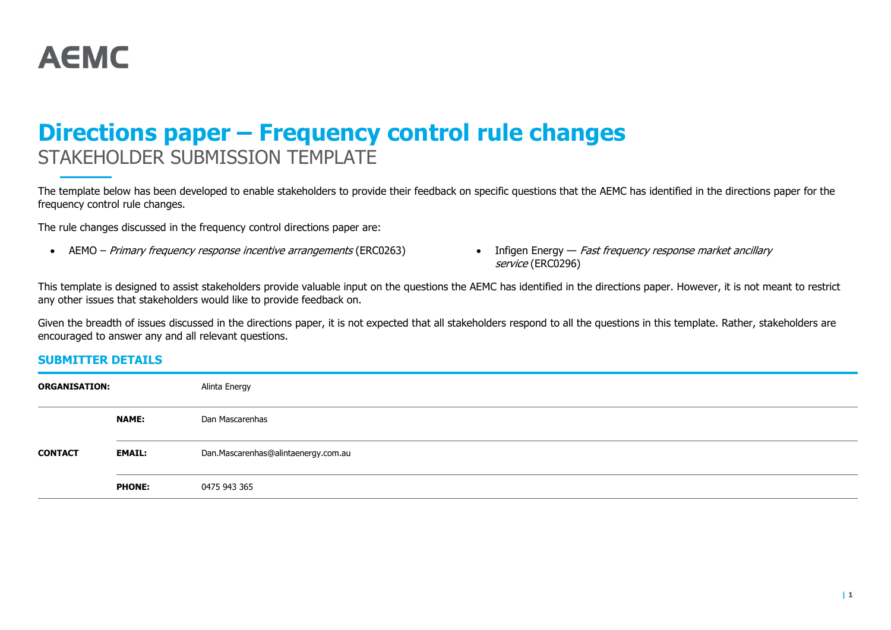

# Directions paper – Frequency control rule changes STAKEHOLDER SUBMISSION TEMPLATE

The template below has been developed to enable stakeholders to provide their feedback on specific questions that the AEMC has identified in the directions paper for the frequency control rule changes.

The rule changes discussed in the frequency control directions paper are:

- AEMO Primary frequency response incentive arrangements (ERC0263) Infigen Energy Fast frequency response market ancillary
- service (ERC0296)

This template is designed to assist stakeholders provide valuable input on the questions the AEMC has identified in the directions paper. However, it is not meant to restrict any other issues that stakeholders would like to provide feedback on.

Given the breadth of issues discussed in the directions paper, it is not expected that all stakeholders respond to all the questions in this template. Rather, stakeholders are encouraged to answer any and all relevant questions.

# SUBMITTER DETAILS

| <b>ORGANISATION:</b> |               | Alinta Energy                       |
|----------------------|---------------|-------------------------------------|
|                      | <b>NAME:</b>  | Dan Mascarenhas                     |
| <b>CONTACT</b>       | <b>EMAIL:</b> | Dan.Mascarenhas@alintaenergy.com.au |
|                      | <b>PHONE:</b> | 0475 943 365                        |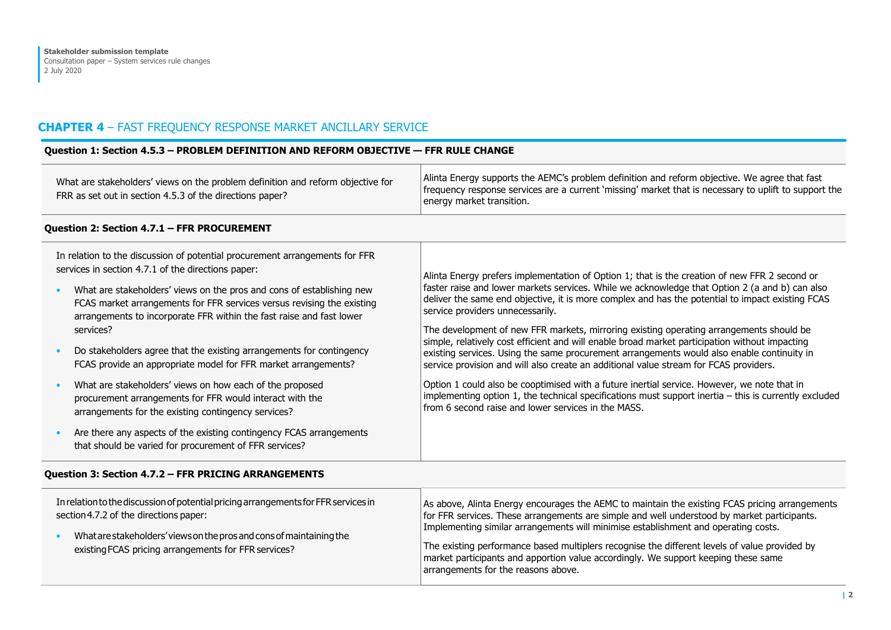# CHAPTER 4 – FAST FREQUENCY RESPONSE MARKET ANCILLARY SERVICE

#### Question 1: Section 4.5.3 – PROBLEM DEFINITION AND REFORM OBJECTIVE — FFR RULE CHANGE What are stakeholders' views on the problem definition and reform objective for FRR as set out in section 4.5.3 of the directions paper? Alinta Energy supports the AEMC's problem definition and reform objective. We agree that fast frequency response services are a current 'missing' market that is necessary to uplift to support the energy market transition. Question 2: Section 4.7.1 – FFR PROCUREMENT In relation to the discussion of potential procurement arrangements for FFR services in section 4.7.1 of the directions paper: • What are stakeholders' views on the pros and cons of establishing new FCAS market arrangements for FFR services versus revising the existing arrangements to incorporate FFR within the fast raise and fast lower services? • Do stakeholders agree that the existing arrangements for contingency FCAS provide an appropriate model for FFR market arrangements? • What are stakeholders' views on how each of the proposed procurement arrangements for FFR would interact with the arrangements for the existing contingency services? • Are there any aspects of the existing contingency FCAS arrangements that should be varied for procurement of FFR services? Alinta Energy prefers implementation of Option 1; that is the creation of new FFR 2 second or faster raise and lower markets services. While we acknowledge that Option 2 (a and b) can also deliver the same end objective, it is more complex and has the potential to impact existing FCAS service providers unnecessarily. The development of new FFR markets, mirroring existing operating arrangements should be simple, relatively cost efficient and will enable broad market participation without impacting existing services. Using the same procurement arrangements would also enable continuity in service provision and will also create an additional value stream for FCAS providers. Option 1 could also be cooptimised with a future inertial service. However, we note that in implementing option 1, the technical specifications must support inertia – this is currently excluded from 6 second raise and lower services in the MASS.

#### Question 3: Section 4.7.2 – FFR PRICING ARRANGEMENTS

| In relation to the discussion of potential pricing arrangements for FFR services in<br>section 4.7.2 of the directions paper:<br>What are stakeholders' views on the pros and cons of maintaining the<br>existing FCAS pricing arrangements for FFR services? | As above, Alinta Energy encourages the AEMC to maintain the existing FCAS pricing arrangements<br>for FFR services. These arrangements are simple and well understood by market participants.<br>Implementing similar arrangements will minimise establishment and operating costs.<br>The existing performance based multiplers recognise the different levels of value provided by<br>market participants and apportion value accordingly. We support keeping these same<br>arrangements for the reasons above. |
|---------------------------------------------------------------------------------------------------------------------------------------------------------------------------------------------------------------------------------------------------------------|-------------------------------------------------------------------------------------------------------------------------------------------------------------------------------------------------------------------------------------------------------------------------------------------------------------------------------------------------------------------------------------------------------------------------------------------------------------------------------------------------------------------|
|---------------------------------------------------------------------------------------------------------------------------------------------------------------------------------------------------------------------------------------------------------------|-------------------------------------------------------------------------------------------------------------------------------------------------------------------------------------------------------------------------------------------------------------------------------------------------------------------------------------------------------------------------------------------------------------------------------------------------------------------------------------------------------------------|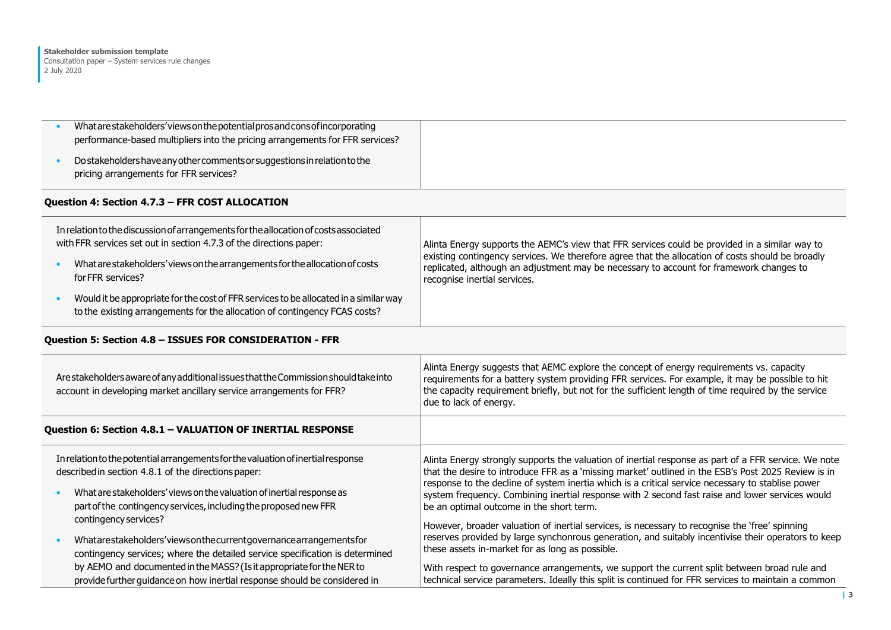| What are stakeholders' views on the potential prosand consof incorporating<br>performance-based multipliers into the pricing arrangements for FFR services?<br>Do stakeholders have any other comments or suggestions in relation to the |                                                                                                                                                                                                                                                                                                                               |
|------------------------------------------------------------------------------------------------------------------------------------------------------------------------------------------------------------------------------------------|-------------------------------------------------------------------------------------------------------------------------------------------------------------------------------------------------------------------------------------------------------------------------------------------------------------------------------|
| pricing arrangements for FFR services?                                                                                                                                                                                                   |                                                                                                                                                                                                                                                                                                                               |
| Question 4: Section 4.7.3 - FFR COST ALLOCATION                                                                                                                                                                                          |                                                                                                                                                                                                                                                                                                                               |
| In relation to the discussion of arrangements for the allocation of costs associated<br>with FFR services set out in section 4.7.3 of the directions paper:                                                                              | Alinta Energy supports the AEMC's view that FFR services could be provided in a similar way to<br>existing contingency services. We therefore agree that the allocation of costs should be broadly                                                                                                                            |
| What are stakeholders' views on the arrangements for the allocation of costs<br>for FFR services?                                                                                                                                        | replicated, although an adjustment may be necessary to account for framework changes to<br>recognise inertial services.                                                                                                                                                                                                       |
| Would it be appropriate for the cost of FFR services to be allocated in a similar way<br>to the existing arrangements for the allocation of contingency FCAS costs?                                                                      |                                                                                                                                                                                                                                                                                                                               |
| Question 5: Section 4.8 - ISSUES FOR CONSIDERATION - FFR                                                                                                                                                                                 |                                                                                                                                                                                                                                                                                                                               |
| Are stakeholders aware of any additional issues that the Commission should take into<br>account in developing market ancillary service arrangements for FFR?                                                                             | Alinta Energy suggests that AEMC explore the concept of energy requirements vs. capacity<br>requirements for a battery system providing FFR services. For example, it may be possible to hit<br>the capacity requirement briefly, but not for the sufficient length of time required by the service<br>due to lack of energy. |
| Question 6: Section 4.8.1 - VALUATION OF INERTIAL RESPONSE                                                                                                                                                                               |                                                                                                                                                                                                                                                                                                                               |
| In relation to the potential arrangements for the valuation of inertial response<br>described in section 4.8.1 of the directions paper:                                                                                                  | Alinta Energy strongly supports the valuation of inertial response as part of a FFR service. We note<br>that the desire to introduce FFR as a 'missing market' outlined in the ESB's Post 2025 Review is in<br>response to the decline of system inertia which is a critical service necessary to stablise power              |
| What are stakeholders' views on the valuation of inertial response as<br>part of the contingency services, including the proposed new FFR<br>contingency services?                                                                       | system frequency. Combining inertial response with 2 second fast raise and lower services would<br>be an optimal outcome in the short term.                                                                                                                                                                                   |
| Whatarestakeholders'viewsonthecurrentgovernancearrangementsfor<br>contingency services; where the detailed service specification is determined                                                                                           | However, broader valuation of inertial services, is necessary to recognise the 'free' spinning<br>reserves provided by large synchonrous generation, and suitably incentivise their operators to keep<br>these assets in-market for as long as possible.                                                                      |
| by AEMO and documented in the MASS? (Is it appropriate for the NER to<br>provide further guidance on how inertial response should be considered in                                                                                       | With respect to governance arrangements, we support the current split between broad rule and<br>technical service parameters. Ideally this split is continued for FFR services to maintain a common                                                                                                                           |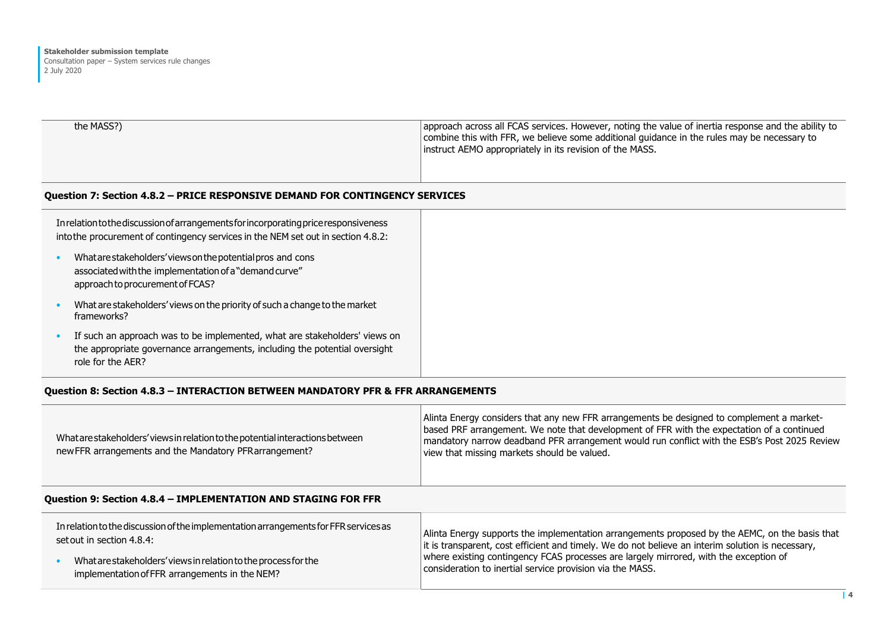approach to procurement of FCAS?

| the MASS?) | approach across all FCAS services. However, noting the value of inertia response and the ability to |
|------------|-----------------------------------------------------------------------------------------------------|
|            | combine this with FFR, we believe some additional quidance in the rules may be necessary to         |
|            | instruct AEMO appropriately in its revision of the MASS.                                            |
|            |                                                                                                     |

#### Question 7: Section 4.8.2 – PRICE RESPONSIVE DEMAND FOR CONTINGENCY SERVICES

| In relation to the discussion of arrangements for incorporating price responsiveness<br>into the procurement of contingency services in the NEM set out in section 4.8.2: |  |  |
|---------------------------------------------------------------------------------------------------------------------------------------------------------------------------|--|--|
| What are stakeholders' views on the potential pros and cons<br>associated with the implementation of a "demand curve"                                                     |  |  |

| What are stakeholders' views on the priority of such a change to the market |
|-----------------------------------------------------------------------------|
| frameworks?                                                                 |

• If such an approach was to be implemented, what are stakeholders' views on the appropriate governance arrangements, including the potential oversight role for the AER?

# Question 8: Section 4.8.3 – INTERACTION BETWEEN MANDATORY PFR & FFR ARRANGEMENTS

| What are stakeholders' views in relation to the potential interactions between<br>new FFR arrangements and the Mandatory PFR arrangement? | Alinta Energy considers that any new FFR arrangements be designed to complement a market-<br>based PRF arrangement. We note that development of FFR with the expectation of a continued<br>mandatory narrow deadband PFR arrangement would run conflict with the ESB's Post 2025 Review<br>view that missing markets should be valued. |
|-------------------------------------------------------------------------------------------------------------------------------------------|----------------------------------------------------------------------------------------------------------------------------------------------------------------------------------------------------------------------------------------------------------------------------------------------------------------------------------------|
|-------------------------------------------------------------------------------------------------------------------------------------------|----------------------------------------------------------------------------------------------------------------------------------------------------------------------------------------------------------------------------------------------------------------------------------------------------------------------------------------|

#### Question 9: Section 4.8.4 – IMPLEMENTATION AND STAGING FOR FFR

| In relation to the discussion of the implementation arrangements for FFR services as<br>set out in section 4.8.4: | Alinta Energy supports the implementation arrangements proposed by the AEMC, on the basis that<br>it is transparent, cost efficient and timely. We do not believe an interim solution is necessary,<br>where existing contingency FCAS processes are largely mirrored, with the exception of<br>consideration to inertial service provision via the MASS. |
|-------------------------------------------------------------------------------------------------------------------|-----------------------------------------------------------------------------------------------------------------------------------------------------------------------------------------------------------------------------------------------------------------------------------------------------------------------------------------------------------|
| What are stakeholders' views in relation to the process for the<br>implementation of FFR arrangements in the NEM? |                                                                                                                                                                                                                                                                                                                                                           |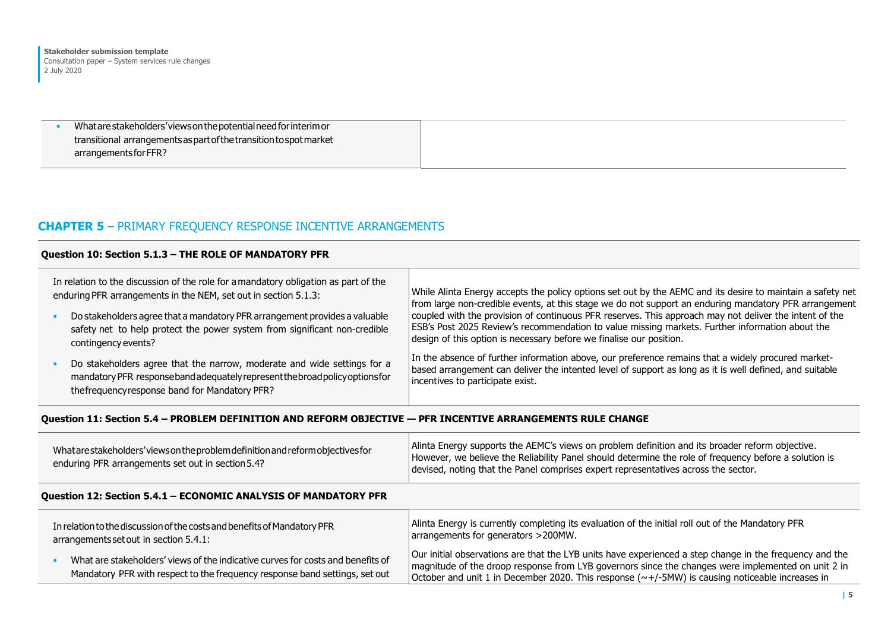• What are stakeholders' views on the potential need for interim or transitional arrangements as part of the transition to spot market arrangements for FFR?

# CHAPTER 5 – PRIMARY FREQUENCY RESPONSE INCENTIVE ARRANGEMENTS

#### Question 10: Section 5.1.3 – THE ROLE OF MANDATORY PFR In relation to the discussion of the role for a mandatory obligation as part of the enduring PFR arrangements in the NEM, set out in section 5.1.3: • Do stakeholders agree that a mandatory PFR arrangement provides a valuable safety net to help protect the power system from significant non-credible contingency events? • Do stakeholders agree that the narrow, moderate and wide settings for a mandatory PFR response band adequately represent the broad policy options for the frequency response band for Mandatory PFR? While Alinta Energy accepts the policy options set out by the AEMC and its desire to maintain a safety net from large non-credible events, at this stage we do not support an enduring mandatory PFR arrangement coupled with the provision of continuous PFR reserves. This approach may not deliver the intent of the ESB's Post 2025 Review's recommendation to value missing markets. Further information about the design of this option is necessary before we finalise our position. In the absence of further information above, our preference remains that a widely procured marketbased arrangement can deliver the intented level of support as long as it is well defined, and suitable incentives to participate exist.

# Question 11: Section 5.4 – PROBLEM DEFINITION AND REFORM OBJECTIVE — PFR INCENTIVE ARRANGEMENTS RULE CHANGE

| What are stake holders' views on the problem definition and reform objectives for<br>enduring PFR arrangements set out in section 5.4? | Alinta Energy supports the AEMC's views on problem definition and its broader reform objective.<br>However, we believe the Reliability Panel should determine the role of frequency before a solution is<br>devised, noting that the Panel comprises expert representatives across the sector. |
|----------------------------------------------------------------------------------------------------------------------------------------|------------------------------------------------------------------------------------------------------------------------------------------------------------------------------------------------------------------------------------------------------------------------------------------------|
|----------------------------------------------------------------------------------------------------------------------------------------|------------------------------------------------------------------------------------------------------------------------------------------------------------------------------------------------------------------------------------------------------------------------------------------------|

# Question 12: Section 5.4.1 – ECONOMIC ANALYSIS OF MANDATORY PFR

| In relation to the discussion of the costs and benefits of Mandatory PFR                                                                                       | Alinta Energy is currently completing its evaluation of the initial roll out of the Mandatory PFR                                                                                                                                                                                                                |
|----------------------------------------------------------------------------------------------------------------------------------------------------------------|------------------------------------------------------------------------------------------------------------------------------------------------------------------------------------------------------------------------------------------------------------------------------------------------------------------|
| arrangements set out in section 5.4.1:                                                                                                                         | arrangements for generators >200MW.                                                                                                                                                                                                                                                                              |
| What are stakeholders' views of the indicative curves for costs and benefits of<br>Mandatory PFR with respect to the frequency response band settings, set out | Our initial observations are that the LYB units have experienced a step change in the frequency and the<br>magnitude of the droop response from LYB governors since the changes were implemented on unit 2 in<br>October and unit 1 in December 2020. This response (~+/-5MW) is causing noticeable increases in |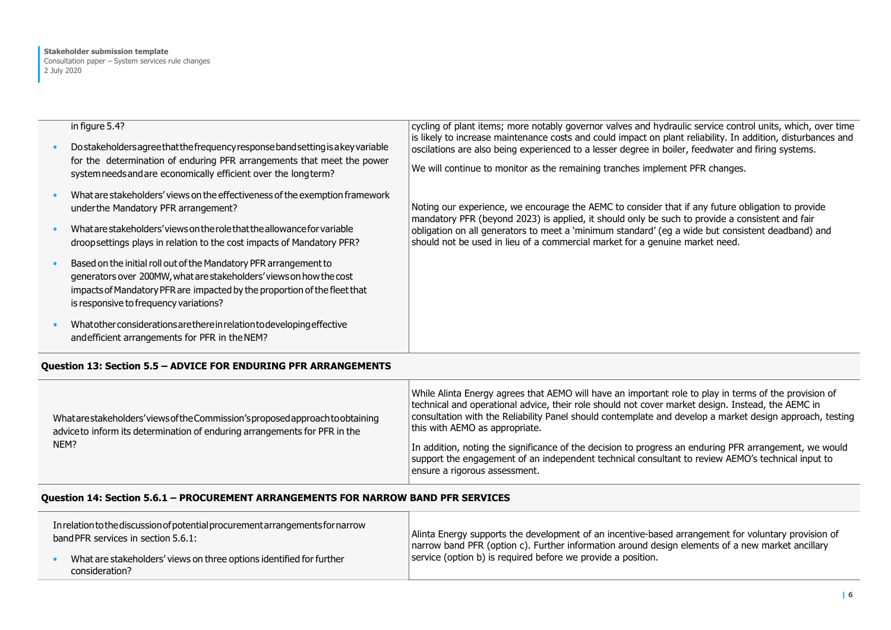| in figure 5.4?<br>Do stakeholders agree that the frequency response band setting is a key variable<br>for the determination of enduring PFR arrangements that meet the power<br>system needs and are economically efficient over the long term?                 | cycling of plant items; more notably governor valves and hydraulic service control units, which, over time<br>is likely to increase maintenance costs and could impact on plant reliability. In addition, disturbances and<br>oscilations are also being experienced to a lesser degree in boiler, feedwater and firing systems.<br>We will continue to monitor as the remaining tranches implement PFR changes. |
|-----------------------------------------------------------------------------------------------------------------------------------------------------------------------------------------------------------------------------------------------------------------|------------------------------------------------------------------------------------------------------------------------------------------------------------------------------------------------------------------------------------------------------------------------------------------------------------------------------------------------------------------------------------------------------------------|
| What are stakeholders' views on the effectiveness of the exemption framework<br>under the Mandatory PFR arrangement?                                                                                                                                            | Noting our experience, we encourage the AEMC to consider that if any future obligation to provide<br>mandatory PFR (beyond 2023) is applied, it should only be such to provide a consistent and fair                                                                                                                                                                                                             |
| What are stakeholders' views on the role that the allowance for variable<br>droopsettings plays in relation to the cost impacts of Mandatory PFR?                                                                                                               | obligation on all generators to meet a 'minimum standard' (eg a wide but consistent deadband) and<br>should not be used in lieu of a commercial market for a genuine market need.                                                                                                                                                                                                                                |
| Based on the initial roll out of the Mandatory PFR arrangement to<br>generators over 200MW, what are stakeholders' views on how the cost<br>impacts of Mandatory PFR are impacted by the proportion of the fleet that<br>is responsive to frequency variations? |                                                                                                                                                                                                                                                                                                                                                                                                                  |
| What other considerations are there in relation to developing effective<br>and efficient arrangements for PFR in the NEM?                                                                                                                                       |                                                                                                                                                                                                                                                                                                                                                                                                                  |

## Question 13: Section 5.5 – ADVICE FOR ENDURING PFR ARRANGEMENTS

| What are stakeholders' views of the Commission's proposed approach to obtaining<br>advice to inform its determination of enduring arrangements for PFR in the<br>NEM? | While Alinta Energy agrees that AEMO will have an important role to play in terms of the provision of<br>technical and operational advice, their role should not cover market design. Instead, the AEMC in<br>consultation with the Reliability Panel should contemplate and develop a market design approach, testing<br>this with AEMO as appropriate.<br>In addition, noting the significance of the decision to progress an enduring PFR arrangement, we would<br>support the engagement of an independent technical consultant to review AEMO's technical input to<br>ensure a rigorous assessment. |
|-----------------------------------------------------------------------------------------------------------------------------------------------------------------------|----------------------------------------------------------------------------------------------------------------------------------------------------------------------------------------------------------------------------------------------------------------------------------------------------------------------------------------------------------------------------------------------------------------------------------------------------------------------------------------------------------------------------------------------------------------------------------------------------------|
|-----------------------------------------------------------------------------------------------------------------------------------------------------------------------|----------------------------------------------------------------------------------------------------------------------------------------------------------------------------------------------------------------------------------------------------------------------------------------------------------------------------------------------------------------------------------------------------------------------------------------------------------------------------------------------------------------------------------------------------------------------------------------------------------|

# Question 14: Section 5.6.1 – PROCUREMENT ARRANGEMENTS FOR NARROW BAND PFR SERVICES

| In relation to the discussion of potential procurement arrangements for narrow<br>band PFR services in section 5.6.1: | Alinta Energy supports the development of an incentive-based arrangement for voluntary provision of<br>narrow band PFR (option c). Further information around design elements of a new market ancillary<br>service (option b) is required before we provide a position. |
|-----------------------------------------------------------------------------------------------------------------------|-------------------------------------------------------------------------------------------------------------------------------------------------------------------------------------------------------------------------------------------------------------------------|
| What are stakeholders' views on three options identified for further<br>consideration?                                |                                                                                                                                                                                                                                                                         |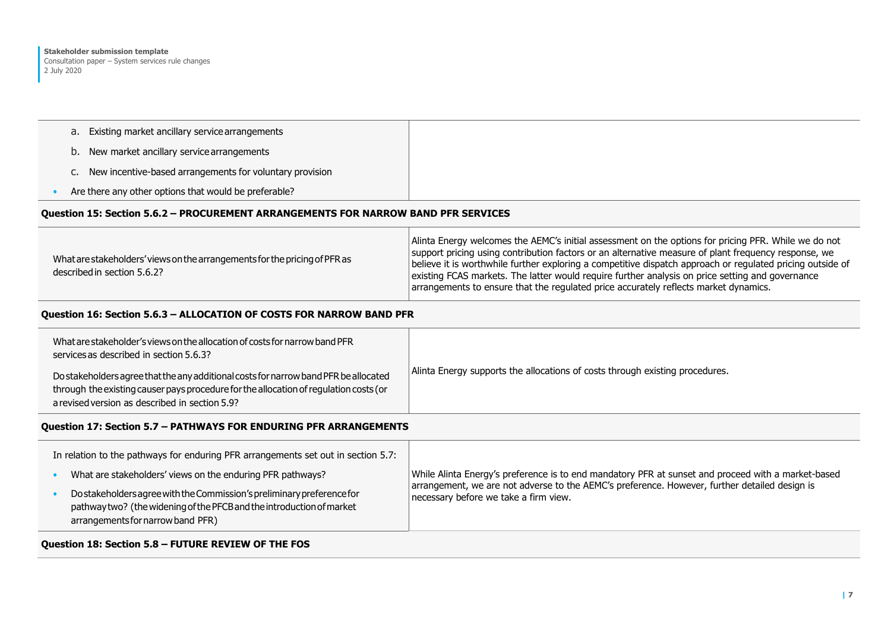- a. Existing market ancillary service arrangements
- b. New market ancillary service arrangements
- c. New incentive-based arrangements for voluntary provision
- Are there any other options that would be preferable?

## Question 15: Section 5.6.2 – PROCUREMENT ARRANGEMENTS FOR NARROW BAND PFR SERVICES

| What are stakeholders' views on the arrangements for the pricing of PFR as<br>described in section 5.6.2? | Alinta Energy welcomes the AEMC's initial assessment on the options for pricing PFR. While we do not<br>support pricing using contribution factors or an alternative measure of plant frequency response, we<br>believe it is worthwhile further exploring a competitive dispatch approach or regulated pricing outside of<br>existing FCAS markets. The latter would require further analysis on price setting and governance<br>arrangements to ensure that the regulated price accurately reflects market dynamics. |
|-----------------------------------------------------------------------------------------------------------|------------------------------------------------------------------------------------------------------------------------------------------------------------------------------------------------------------------------------------------------------------------------------------------------------------------------------------------------------------------------------------------------------------------------------------------------------------------------------------------------------------------------|
|-----------------------------------------------------------------------------------------------------------|------------------------------------------------------------------------------------------------------------------------------------------------------------------------------------------------------------------------------------------------------------------------------------------------------------------------------------------------------------------------------------------------------------------------------------------------------------------------------------------------------------------------|

## Question 16: Section 5.6.3 – ALLOCATION OF COSTS FOR NARROW BAND PFR

| What are stakeholder's views on the allocation of costs for narrow band PFR<br>services as described in section 5.6.3?                                                                                                          | Alinta Energy supports the allocations of costs through existing procedures. |
|---------------------------------------------------------------------------------------------------------------------------------------------------------------------------------------------------------------------------------|------------------------------------------------------------------------------|
| Do stakeholders agree that the any additional costs for narrow band PFR be allocated<br>through the existing causer pays procedure for the allocation of regulation costs (or<br>a revised version as described in section 5.9? |                                                                              |

#### Question 17: Section 5.7 – PATHWAYS FOR ENDURING PFR ARRANGEMENTS

| In relation to the pathways for enduring PFR arrangements set out in section 5.7:                                                                                                    |                                                                                                                                                                                                                                              |
|--------------------------------------------------------------------------------------------------------------------------------------------------------------------------------------|----------------------------------------------------------------------------------------------------------------------------------------------------------------------------------------------------------------------------------------------|
| What are stakeholders' views on the enduring PFR pathways?                                                                                                                           | While Alinta Energy's preference is to end mandatory PFR at sunset and proceed with a market-based<br>arrangement, we are not adverse to the AEMC's preference. However, further detailed design is<br>necessary before we take a firm view. |
| Do stakeholders agree with the Commission's preliminary preference for<br>pathway two? (the widening of the PFCB and the introduction of market<br>arrangements for narrow band PFR) |                                                                                                                                                                                                                                              |

#### Question 18: Section 5.8 – FUTURE REVIEW OF THE FOS